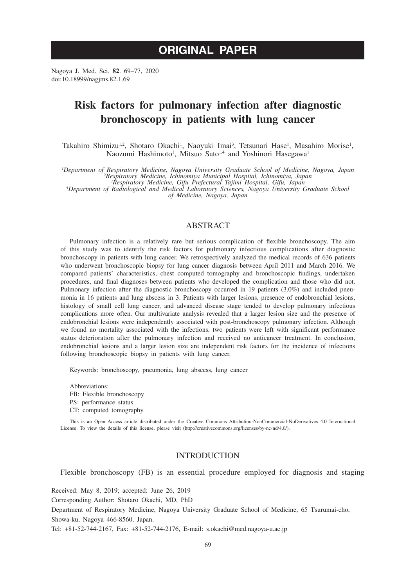# **ORIGINAL PAPER**

Nagoya J. Med. Sci. **82**. 69–77, 2020 doi:10.18999/nagjms.82.1.69

# **Risk factors for pulmonary infection after diagnostic bronchoscopy in patients with lung cancer**

Takahiro Shimizu<sup>1,2</sup>, Shotaro Okachi<sup>1</sup>, Naoyuki Imai<sup>3</sup>, Tetsunari Hase<sup>1</sup>, Masahiro Morise<sup>1</sup>, Naozumi Hashimoto<sup>1</sup>, Mitsuo Sato<sup>1,4</sup> and Yoshinori Hasegawa<sup>1</sup>

Department of Respiratory Medicine, Nagoya University Graduate School of Medicine, Nagoya, Japan<br><sup>2</sup> Respiratory Medicine, Ichinomiya Municipal Hospital, Ichinomiya, Japan<br><sup>3</sup> Respiratory Medicine, Gifu Prefectural Tajimi

*Department of Radiological and Medical Laboratory Sciences, Nagoya University Graduate School of Medicine, Nagoya, Japan*

## ABSTRACT

Pulmonary infection is a relatively rare but serious complication of flexible bronchoscopy. The aim of this study was to identify the risk factors for pulmonary infectious complications after diagnostic bronchoscopy in patients with lung cancer. We retrospectively analyzed the medical records of 636 patients who underwent bronchoscopic biopsy for lung cancer diagnosis between April 2011 and March 2016. We compared patients' characteristics, chest computed tomography and bronchoscopic findings, undertaken procedures, and final diagnoses between patients who developed the complication and those who did not. Pulmonary infection after the diagnostic bronchoscopy occurred in 19 patients (3.0%) and included pneumonia in 16 patients and lung abscess in 3. Patients with larger lesions, presence of endobronchial lesions, histology of small cell lung cancer, and advanced disease stage tended to develop pulmonary infectious complications more often. Our multivariate analysis revealed that a larger lesion size and the presence of endobronchial lesions were independently associated with post-bronchoscopy pulmonary infection. Although we found no mortality associated with the infections, two patients were left with significant performance status deterioration after the pulmonary infection and received no anticancer treatment. In conclusion, endobronchial lesions and a larger lesion size are independent risk factors for the incidence of infections following bronchoscopic biopsy in patients with lung cancer.

Keywords: bronchoscopy, pneumonia, lung abscess, lung cancer

Abbreviations: FB: Flexible bronchoscopy PS: performance status CT: computed tomography

This is an Open Access article distributed under the Creative Commons Attribution-NonCommercial-NoDerivatives 4.0 International License. To view the details of this license, please visit (http://creativecommons.org/licenses/by-nc-nd/4.0/).

#### **INTRODUCTION**

Flexible bronchoscopy (FB) is an essential procedure employed for diagnosis and staging

Received: May 8, 2019; accepted: June 26, 2019

Tel: +81-52-744-2167, Fax: +81-52-744-2176, E-mail: s.okachi@med.nagoya-u.ac.jp

Corresponding Author: Shotaro Okachi, MD, PhD

Department of Respiratory Medicine, Nagoya University Graduate School of Medicine, 65 Tsurumai-cho, Showa-ku, Nagoya 466-8560, Japan.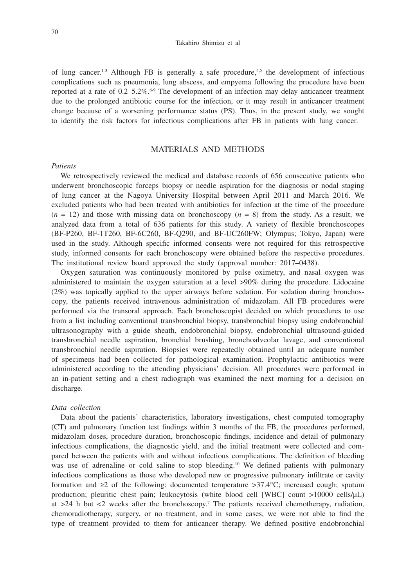#### Takahiro Shimizu et al

of lung cancer.<sup>1-3</sup> Although FB is generally a safe procedure,<sup>4,5</sup> the development of infectious complications such as pneumonia, lung abscess, and empyema following the procedure have been reported at a rate of  $0.2-5.2\%$ .<sup>6.9</sup> The development of an infection may delay anticancer treatment due to the prolonged antibiotic course for the infection, or it may result in anticancer treatment change because of a worsening performance status (PS). Thus, in the present study, we sought to identify the risk factors for infectious complications after FB in patients with lung cancer.

### MATERIALS AND METHODS

#### *Patients*

We retrospectively reviewed the medical and database records of 656 consecutive patients who underwent bronchoscopic forceps biopsy or needle aspiration for the diagnosis or nodal staging of lung cancer at the Nagoya University Hospital between April 2011 and March 2016. We excluded patients who had been treated with antibiotics for infection at the time of the procedure  $(n = 12)$  and those with missing data on bronchoscopy  $(n = 8)$  from the study. As a result, we analyzed data from a total of 636 patients for this study. A variety of flexible bronchoscopes (BF-P260, BF-1T260, BF-6C260, BF-Q290, and BF-UC260FW; Olympus; Tokyo, Japan) were used in the study. Although specific informed consents were not required for this retrospective study, informed consents for each bronchoscopy were obtained before the respective procedures. The institutional review board approved the study (approval number: 2017–0438).

Oxygen saturation was continuously monitored by pulse oximetry, and nasal oxygen was administered to maintain the oxygen saturation at a level >90% during the procedure. Lidocaine (2%) was topically applied to the upper airways before sedation. For sedation during bronchoscopy, the patients received intravenous administration of midazolam. All FB procedures were performed via the transoral approach. Each bronchoscopist decided on which procedures to use from a list including conventional transbronchial biopsy, transbronchial biopsy using endobronchial ultrasonography with a guide sheath, endobronchial biopsy, endobronchial ultrasound-guided transbronchial needle aspiration, bronchial brushing, bronchoalveolar lavage, and conventional transbronchial needle aspiration. Biopsies were repeatedly obtained until an adequate number of specimens had been collected for pathological examination. Prophylactic antibiotics were administered according to the attending physicians' decision. All procedures were performed in an in-patient setting and a chest radiograph was examined the next morning for a decision on discharge.

#### *Data collection*

Data about the patients' characteristics, laboratory investigations, chest computed tomography (CT) and pulmonary function test findings within 3 months of the FB, the procedures performed, midazolam doses, procedure duration, bronchoscopic findings, incidence and detail of pulmonary infectious complications, the diagnostic yield, and the initial treatment were collected and compared between the patients with and without infectious complications. The definition of bleeding was use of adrenaline or cold saline to stop bleeding.<sup>10</sup> We defined patients with pulmonary infectious complications as those who developed new or progressive pulmonary infiltrate or cavity formation and  $\geq 2$  of the following: documented temperature  $>37.4$ °C; increased cough; sputum production; pleuritic chest pain; leukocytosis (white blood cell [WBC] count >10000 cells/µL) at  $>24$  h but  $<2$  weeks after the bronchoscopy.<sup>7</sup> The patients received chemotherapy, radiation, chemoradiotherapy, surgery, or no treatment, and in some cases, we were not able to find the type of treatment provided to them for anticancer therapy. We defined positive endobronchial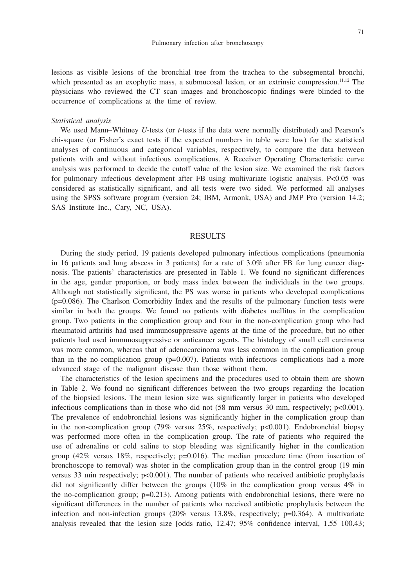lesions as visible lesions of the bronchial tree from the trachea to the subsegmental bronchi, which presented as an exophytic mass, a submucosal lesion, or an extrinsic compression.<sup>11,12</sup> The physicians who reviewed the CT scan images and bronchoscopic findings were blinded to the occurrence of complications at the time of review.

#### *Statistical analysis*

We used Mann–Whitney *U*-tests (or *t*-tests if the data were normally distributed) and Pearson's chi-square (or Fisher's exact tests if the expected numbers in table were low) for the statistical analyses of continuous and categorical variables, respectively, to compare the data between patients with and without infectious complications. A Receiver Operating Characteristic curve analysis was performed to decide the cutoff value of the lesion size. We examined the risk factors for pulmonary infectious development after FB using multivariate logistic analysis. P<0.05 was considered as statistically significant, and all tests were two sided. We performed all analyses using the SPSS software program (version 24; IBM, Armonk, USA) and JMP Pro (version 14.2; SAS Institute Inc., Cary, NC, USA).

#### RESULTS

During the study period, 19 patients developed pulmonary infectious complications (pneumonia in 16 patients and lung abscess in 3 patients) for a rate of 3.0% after FB for lung cancer diagnosis. The patients' characteristics are presented in Table 1. We found no significant differences in the age, gender proportion, or body mass index between the individuals in the two groups. Although not statistically significant, the PS was worse in patients who developed complications (p=0.086). The Charlson Comorbidity Index and the results of the pulmonary function tests were similar in both the groups. We found no patients with diabetes mellitus in the complication group. Two patients in the complication group and four in the non-complication group who had rheumatoid arthritis had used immunosuppressive agents at the time of the procedure, but no other patients had used immunosuppressive or anticancer agents. The histology of small cell carcinoma was more common, whereas that of adenocarcinoma was less common in the complication group than in the no-complication group  $(p=0.007)$ . Patients with infectious complications had a more advanced stage of the malignant disease than those without them.

The characteristics of the lesion specimens and the procedures used to obtain them are shown in Table 2. We found no significant differences between the two groups regarding the location of the biopsied lesions. The mean lesion size was significantly larger in patients who developed infectious complications than in those who did not  $(58 \text{ mm}$  versus 30 mm, respectively; p<0.001). The prevalence of endobronchial lesions was significantly higher in the complication group than in the non-complication group (79% versus  $25\%$ , respectively; p<0.001). Endobronchial biopsy was performed more often in the complication group. The rate of patients who required the use of adrenaline or cold saline to stop bleeding was significantly higher in the comlication group  $(42\%$  versus 18%, respectively;  $p=0.016$ ). The median procedure time (from insertion of bronchoscope to removal) was shoter in the complication group than in the control group (19 min versus 33 min respectively;  $p<0.001$ ). The number of patients who received antibiotic prophylaxis did not significantly differ between the groups (10% in the complication group versus 4% in the no-complication group; p=0.213). Among patients with endobronchial lesions, there were no significant differences in the number of patients who received antibiotic prophylaxis between the infection and non-infection groups  $(20\%$  versus  $13.8\%$ , respectively; p=0.364). A multivariate analysis revealed that the lesion size [odds ratio, 12.47; 95% confidence interval, 1.55–100.43;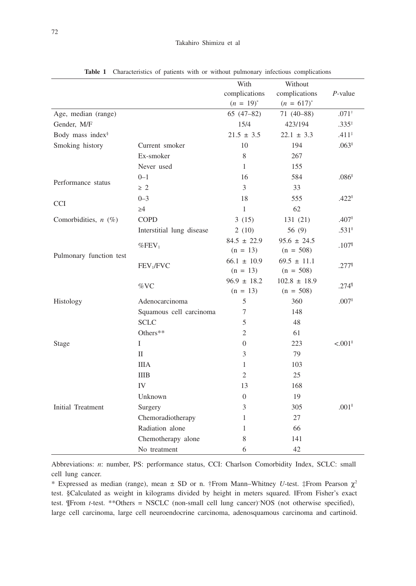|                              |                           | With            | Without          |                                            |
|------------------------------|---------------------------|-----------------|------------------|--------------------------------------------|
|                              |                           | complications   | complications    | $P$ -value                                 |
|                              |                           | $(n = 19)^{*}$  | $(n = 617)^{*}$  |                                            |
| Age, median (range)          |                           | $65(47-82)$     | 71 (40-88)       | $.071^{+}$                                 |
| Gender, M/F                  |                           | 15/4            | 423/194          | $.335*$                                    |
| Body mass index <sup>§</sup> |                           | $21.5 \pm 3.5$  | $22.1 \pm 3.3$   | $.411*$                                    |
| Smoking history              | Current smoker            | 10              | 194              | $.063$ <sup><math>\text{II}</math></sup>   |
|                              | Ex-smoker                 | $\,$ 8 $\,$     | 267              |                                            |
|                              | Never used                | $\mathbf{1}$    | 155              |                                            |
|                              | $0 - 1$                   | 16              | 584              | $.086$ <sup><math>\text{II}</math></sup>   |
| Performance status           | $\geq 2$                  | 3               | 33               |                                            |
|                              | $0 - 3$                   | 18              | 555              | $.422$ <sup><math>\text{II}</math></sup>   |
| <b>CCI</b>                   | $\geq 4$                  | $\mathbf{1}$    | 62               |                                            |
| Comorbidities, $n$ (%)       | <b>COPD</b>               | 3(15)           | 131 (21)         | .407 <sup>II</sup>                         |
|                              | Interstitial lung disease | 2(10)           | 56 (9)           | $.531$ <sup><math>\text{II}</math></sup>   |
| Pulmonary function test      |                           | $84.5 \pm 22.9$ | $95.6 \pm 24.5$  | .107 <sup>II</sup>                         |
|                              | $%$ FEV <sub>1</sub>      | $(n = 13)$      | $(n = 508)$      |                                            |
|                              | FEV <sub>1</sub> /FVC     | $66.1 \pm 10.9$ | $69.5 \pm 11.1$  | $.277^{\circ}$                             |
|                              |                           | $(n = 13)$      | $(n = 508)$      |                                            |
|                              | %VC                       | $96.9 \pm 18.2$ | $102.8 \pm 18.9$ | .274%                                      |
|                              |                           | $(n = 13)$      | $(n = 508)$      |                                            |
| Histology                    | Adenocarcinoma            | 5               | 360              | $.007$ <sup>11</sup>                       |
|                              | Squamous cell carcinoma   | 7               | 148              |                                            |
|                              | <b>SCLC</b>               | 5               | 48               |                                            |
|                              | Others**                  | $\overline{2}$  | 61               |                                            |
| Stage                        | L                         | $\Omega$        | 223              | $< 0.01$ <sup><math>\parallel</math></sup> |
|                              | $\mathbf{I}$              | 3               | 79               |                                            |
|                              | <b>IIIA</b>               | $\mathbf{1}$    | 103              |                                            |
|                              | <b>IIIB</b>               | $\overline{2}$  | 25               |                                            |
|                              | IV                        | 13              | 168              |                                            |
| Initial Treatment            | Unknown                   | $\overline{0}$  | 19               |                                            |
|                              | Surgery                   | 3               | 305              | $.001$ <sup><math>\text{II}</math></sup>   |
|                              | Chemoradiotherapy         | 1               | 27               |                                            |
|                              | Radiation alone           | 1               | 66               |                                            |
|                              | Chemotherapy alone        | 8               | 141              |                                            |
|                              | No treatment              | 6               | 42               |                                            |

**Table 1** Characteristics of patients with or without pulmonary infectious complications

Abbreviations: *n*: number, PS: performance status, CCI: Charlson Comorbidity Index, SCLC: small cell lung cancer.

\* Expressed as median (range), mean  $\pm$  SD or n. †From Mann–Whitney *U*-test. ‡From Pearson  $\chi^2$ test. §Calculated as weight in kilograms divided by height in meters squared. ||From Fisher's exact test. ¶From *t*-test. \*\*Others = NSCLC (non-small cell lung cancer)– NOS (not otherwise specified), large cell carcinoma, large cell neuroendocrine carcinoma, adenosquamous carcinoma and cartinoid.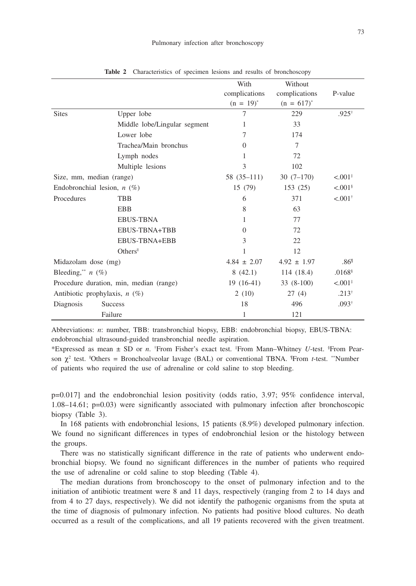|                                         |                                            | With            | Without         |                       |
|-----------------------------------------|--------------------------------------------|-----------------|-----------------|-----------------------|
|                                         |                                            | complications   | complications   | P-value               |
|                                         |                                            | $(n = 19)^{*}$  | $(n = 617)^{*}$ |                       |
| <b>Sites</b>                            | Upper lobe                                 | 7               | 229             | $.925^{\dagger}$      |
|                                         | Middle lobe/Lingular segment               | 1               | 33              |                       |
|                                         | Lower lobe                                 | 7               | 174             |                       |
|                                         | Trachea/Main bronchus                      | $\Omega$        | 7               |                       |
|                                         | Lymph nodes                                | 1               | 72              |                       |
|                                         | Multiple lesions                           | 3               | 102             |                       |
| Size, mm, median (range)                |                                            | $58(35-111)$    | $30(7-170)$     | < 0.001               |
| Endobronchial lesion, $n$ (%)           |                                            | 15 (79)         | 153(25)         | $< 0.01$ <sup>§</sup> |
| Procedures                              | TBB                                        | 6               | 371             | $< 0.01$ <sup>†</sup> |
|                                         | <b>EBB</b>                                 | 8               | 63              |                       |
|                                         | <b>EBUS-TBNA</b>                           | 1               | 77              |                       |
|                                         | EBUS-TBNA+TBB                              | $\Omega$        | 72              |                       |
|                                         | EBUS-TBNA+EBB                              | 3               | 22              |                       |
|                                         | $Others$ <sup><math>\parallel</math></sup> | 1               | 12              |                       |
| Midazolam dose (mg)                     |                                            | $4.84 \pm 2.07$ | $4.92 \pm 1.97$ | .86 <sup>1</sup>      |
| Bleeding, <sup>**</sup> $n$ (%)         |                                            | 8(42.1)         | 114 (18.4)      | $.0168$ <sup>§</sup>  |
| Procedure duration, min, median (range) |                                            | $19(16-41)$     | $33(8-100)$     | < 0.001               |
| Antibiotic prophylaxis, $n$ (%)         |                                            | 2(10)           | 27(4)           | $.213^{\dagger}$      |
| Diagnosis                               | <b>Success</b>                             | 18              | 496             | $.093^{\dagger}$      |
|                                         | Failure                                    | 1               | 121             |                       |

**Table 2** Characteristics of specimen lesions and results of bronchoscopy

Abbreviations: *n*: number, TBB: transbronchial biopsy, EBB: endobronchial biopsy, EBUS-TBNA: endobronchial ultrasound-guided transbronchial needle aspiration.

\*Expressed as mean ± SD or *n*. † From Fisher's exact test. ‡ From Mann–Whitney *U*-test. § From Pearson  $\chi^2$  test. "Others = Bronchoalveolar lavage (BAL) or conventional TBNA. "From *t*-test. "Number of patients who required the use of adrenaline or cold saline to stop bleeding.

p=0.017] and the endobronchial lesion positivity (odds ratio, 3.97; 95% confidence interval, 1.08–14.61; p=0.03) were significantly associated with pulmonary infection after bronchoscopic biopsy (Table 3).

In 168 patients with endobronchial lesions, 15 patients (8.9%) developed pulmonary infection. We found no significant differences in types of endobronchial lesion or the histology between the groups.

There was no statistically significant difference in the rate of patients who underwent endobronchial biopsy. We found no significant differences in the number of patients who required the use of adrenaline or cold saline to stop bleeding (Table 4).

The median durations from bronchoscopy to the onset of pulmonary infection and to the initiation of antibiotic treatment were 8 and 11 days, respectively (ranging from 2 to 14 days and from 4 to 27 days, respectively). We did not identify the pathogenic organisms from the sputa at the time of diagnosis of pulmonary infection. No patients had positive blood cultures. No death occurred as a result of the complications, and all 19 patients recovered with the given treatment.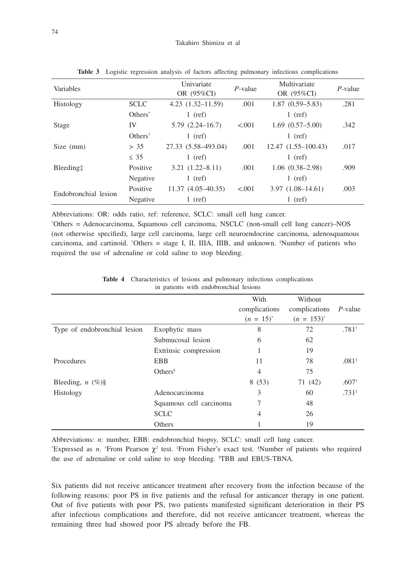| Variables            |                    | Univariate<br>OR (95%CI) | $P$ -value | Multivariate<br>OR (95%CI) | $P$ -value |
|----------------------|--------------------|--------------------------|------------|----------------------------|------------|
| Histology            | <b>SCLC</b>        | $4.23(1.32 - 11.59)$     | .001       | $1.87(0.59 - 5.83)$        | .281       |
|                      | $Others^*$         | $1$ (ref)                |            | $1$ (ref)                  |            |
| Stage                | IV                 | $5.79(2.24 - 16.7)$      | < 0.001    | $1.69(0.57 - 5.00)$        | .342       |
|                      | $Others^{\dagger}$ | $1$ (ref)                |            | $1$ (ref)                  |            |
| Size (mm)            | > 35               | 27.33 (5.58-493.04)      | .001       | $12.47(1.55-100.43)$       | .017       |
|                      | $\leq$ 35          | $1$ (ref)                |            | $1$ (ref)                  |            |
| Bleeding:            | Positive           | $3.21(1.22 - 8.11)$      | .001       | $1.06(0.38-2.98)$          | .909       |
|                      | Negative           | $1$ (ref)                |            | $1$ (ref)                  |            |
| Endobronchial lesion | Positive           | $11.37(4.05-40.35)$      | < 0.01     | $3.97(1.08-14.61)$         | .003       |
|                      | Negative           | $1$ (ref)                |            | $1$ (ref)                  |            |

**Table 3** Logistic regression analysis of factors affecting pulmonary infectious complications

Abbreviations: OR: odds ratio, ref: reference, SCLC: small cell lung cancer.

\* Others = Adenocarcinoma, Squamous cell carcinoma, NSCLC (non-small cell lung cancer)–NOS (not otherwise specified), large cell carcinoma, large cell neuroendocrine carcinoma, adenosquamous carcinoma, and cartinoid. † Others = stage I, II, IIIA, IIIB, and unknown. ‡ Number of patients who required the use of adrenaline or cold saline to stop bleeding.

|                                        | <b>Table 4</b> Characteristics of lesions and pulmonary infectious complications |  |  |  |
|----------------------------------------|----------------------------------------------------------------------------------|--|--|--|
| in patients with endobronchial lesions |                                                                                  |  |  |  |

|                              |                                     | With<br>complications<br>$(n = 15)^{*}$ | Without<br>complications<br>$(n = 153)^{*}$ | $P$ -value       |
|------------------------------|-------------------------------------|-----------------------------------------|---------------------------------------------|------------------|
| Type of endobronchial lesion | Exophytic mass                      | 8                                       | 72                                          | $.781*$          |
|                              | Submucosal lesion                   | 6                                       | 62                                          |                  |
|                              | Extrinsic compression               |                                         | 19                                          |                  |
| Procedures                   | <b>EBB</b>                          | 11                                      | 78                                          | $.081*$          |
|                              | $Others$ <sup><math>  </math></sup> | $\overline{4}$                          | 75                                          |                  |
| Bleeding, $n$ (%)§           |                                     | 8(53)                                   | 71 (42)                                     | $.607^{\dagger}$ |
| Histology                    | Adenocarcinoma                      | 3                                       | 60                                          | $.731*$          |
|                              | Squamous cell carcinoma             | 7                                       | 48                                          |                  |
|                              | <b>SCLC</b>                         | 4                                       | 26                                          |                  |
|                              | Others                              |                                         | 19                                          |                  |

Abbreviations: *n*: number, EBB: endobronchial biopsy, SCLC: small cell lung cancer.

"Expressed as *n*. <sup>†</sup>From Pearson  $\chi^2$  test. <sup>‡</sup>From Fisher's exact test. <sup>§</sup>Number of patients who required the use of adrenaline or cold saline to stop bleeding. "TBB and EBUS-TBNA.

Six patients did not receive anticancer treatment after recovery from the infection because of the following reasons: poor PS in five patients and the refusal for anticancer therapy in one patient. Out of five patients with poor PS, two patients manifested significant deterioration in their PS after infectious complications and therefore, did not receive anticancer treatment, whereas the remaining three had showed poor PS already before the FB.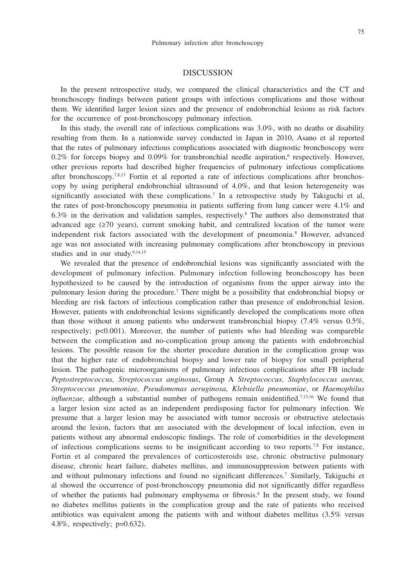#### DISCUSSION

In the present retrospective study, we compared the clinical characteristics and the CT and bronchoscopy findings between patient groups with infectious complications and those without them. We identified larger lesion sizes and the presence of endobronchial lesions as risk factors for the occurrence of post-bronchoscopy pulmonary infection.

In this study, the overall rate of infectious complications was 3.0%, with no deaths or disability resulting from them. In a nationwide survey conducted in Japan in 2010, Asano et al reported that the rates of pulmonary infectious complications associated with diagnostic bronchoscopy were  $0.2\%$  for forceps biopsy and  $0.09\%$  for transbronchial needle aspiration,<sup>6</sup> respectively. However, other previous reports had described higher frequencies of pulmonary infectious complications after bronchoscopy.<sup>7,8,13</sup> Fortin et al reported a rate of infectious complications after bronchoscopy by using peripheral endobronchial ultrasound of 4.0%, and that lesion heterogeneity was significantly associated with these complications.7 In a retrospective study by Takiguchi et al, the rates of post-bronchoscopy pneumonia in patients suffering from lung cancer were 4.1% and 6.3% in the derivation and validation samples, respectively.8 The authors also demonstrated that advanced age (≥70 years), current smoking habit, and centralized location of the tumor were independent risk factors associated with the development of pneumonia.<sup>8</sup> However, advanced age was not associated with increasing pulmonary complications after bronchoscopy in previous studies and in our study.<sup>9,14,15</sup>

We revealed that the presence of endobronchial lesions was significantly associated with the development of pulmonary infection. Pulmonary infection following bronchoscopy has been hypothesized to be caused by the introduction of organisms from the upper airway into the pulmonary lesion during the procedure.<sup>7</sup> There might be a possibility that endobronchial biopsy or bleeding are risk factors of infectious complication rather than presence of endobronchial lesion. However, patients with endobronchial lesions significantly developed the complications more often than those without it among patients who underwent transbronchial biopsy (7.4% versus 0.5%, respectively;  $p<0.001$ ). Moreover, the number of patients who had bleeding was compareble between the complication and no-complication group among the patients with endobronchial lesions. The possible reason for the shorter procedure duration in the complication group was that the higher rate of endobronchial biopsy and lower rate of biopsy for small peripheral lesion. The pathogenic microorganisms of pulmonary infectious complications after FB include *Peptostreptococcus, Streptococcus anginosus*, Group A *Streptococcus, Staphylococcus aureus, Streptococcus pneumoniae, Pseudomonas aeruginosa, Klebsiella pneumoniae*, or *Haemophilus influenzae*, although a substantial number of pathogens remain unidentified.<sup>7,13,16</sup> We found that a larger lesion size acted as an independent predisposing factor for pulmonary infection. We presume that a larger lesion may be associated with tumor necrosis or obstructive atelectasis around the lesion, factors that are associated with the development of local infection, even in patients without any abnormal endoscopic findings. The role of comorbidities in the development of infectious complications seems to be insignificant according to two reports.7,8 For instance, Fortin et al compared the prevalences of corticosteroids use, chronic obstructive pulmonary disease, chronic heart failure, diabetes mellitus, and immunosuppression between patients with and without pulmonary infections and found no significant differences.<sup>7</sup> Similarly, Takiguchi et al showed the occurrence of post-bronchoscopy pneumonia did not significantly differ regardless of whether the patients had pulmonary emphysema or fibrosis.<sup>8</sup> In the present study, we found no diabetes mellitus patients in the complication group and the rate of patients who received antibiotics was equivalent among the patients with and without diabetes mellitus (3.5% versus 4.8%, respectively; p=0.632).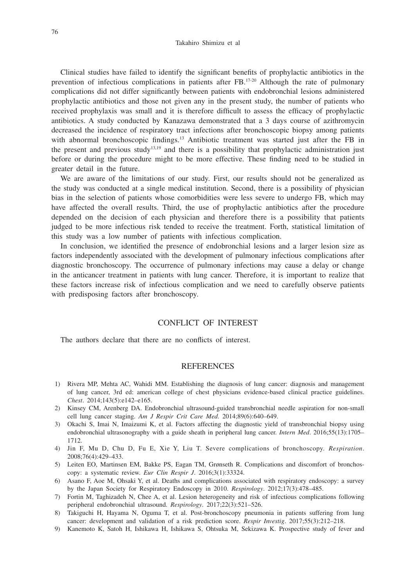Clinical studies have failed to identify the significant benefits of prophylactic antibiotics in the prevention of infectious complications in patients after FB.17-20 Although the rate of pulmonary complications did not differ significantly between patients with endobronchial lesions administered prophylactic antibiotics and those not given any in the present study, the number of patients who received prophylaxis was small and it is therefore difficult to assess the efficacy of prophylactic antibiotics. A study conducted by Kanazawa demonstrated that a 3 days course of azithromycin decreased the incidence of respiratory tract infections after bronchoscopic biopsy among patients with abnormal bronchoscopic findings.<sup>13</sup> Antibiotic treatment was started just after the FB in the present and previous study<sup>13,19</sup> and there is a possibility that prophylactic administration just before or during the procedure might to be more effective. These finding need to be studied in greater detail in the future.

We are aware of the limitations of our study. First, our results should not be generalized as the study was conducted at a single medical institution. Second, there is a possibility of physician bias in the selection of patients whose comorbidities were less severe to undergo FB, which may have affected the overall results. Third, the use of prophylactic antibiotics after the procedure depended on the decision of each physician and therefore there is a possibility that patients judged to be more infectious risk tended to receive the treatment. Forth, statistical limitation of this study was a low number of patients with infectious complication.

In conclusion, we identified the presence of endobronchial lesions and a larger lesion size as factors independently associated with the development of pulmonary infectious complications after diagnostic bronchoscopy. The occurrence of pulmonary infections may cause a delay or change in the anticancer treatment in patients with lung cancer. Therefore, it is important to realize that these factors increase risk of infectious complication and we need to carefully observe patients with predisposing factors after bronchoscopy.

### CONFLICT OF INTEREST

The authors declare that there are no conflicts of interest.

#### **REFERENCES**

- 1) Rivera MP, Mehta AC, Wahidi MM. Establishing the diagnosis of lung cancer: diagnosis and management of lung cancer, 3rd ed: american college of chest physicians evidence-based clinical practice guidelines. *Chest*. 2014;143(5):e142–e165.
- 2) Kinsey CM, Arenberg DA. Endobronchial ultrasound-guided transbronchial needle aspiration for non-small cell lung cancer staging. *Am J Respir Crit Care Med*. 2014;89(6):640–649.
- 3) Okachi S, Imai N, Imaizumi K, et al. Factors affecting the diagnostic yield of transbronchial biopsy using endobronchial ultrasonography with a guide sheath in peripheral lung cancer. *Intern Med*. 2016;55(13):1705– 1712.
- 4) Jin F, Mu D, Chu D, Fu E, Xie Y, Liu T. Severe complications of bronchoscopy. *Respiration*. 2008;76(4):429–433.
- 5) Leiten EO, Martinsen EM, Bakke PS, Eagan TM, Grønseth R. Complications and discomfort of bronchoscopy: a systematic review. *Eur Clin Respir J*. 2016;3(1):33324.
- 6) Asano F, Aoe M, Ohsaki Y, et al. Deaths and complications associated with respiratory endoscopy: a survey by the Japan Society for Respiratory Endoscopy in 2010. *Respirology*. 2012;17(3):478–485.
- 7) Fortin M, Taghizadeh N, Chee A, et al. Lesion heterogeneity and risk of infectious complications following peripheral endobronchial ultrasound. *Respirology*. 2017;22(3):521–526.
- 8) Takiguchi H, Hayama N, Oguma T, et al. Post-bronchoscopy pneumonia in patients suffering from lung cancer: development and validation of a risk prediction score. *Respir Investig*. 2017;55(3):212–218.
- 9) Kanemoto K, Satoh H, Ishikawa H, Ishikawa S, Ohtsuka M, Sekizawa K. Prospective study of fever and